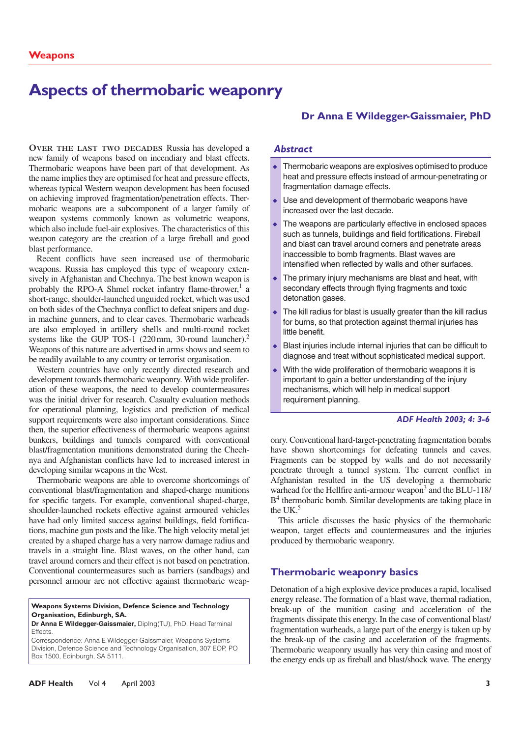# **Aspects of thermobaric weaponry**

on achieving improved fragmentation/penetration effects. Thermodart weapons are a suscempenent of a hager ranny of weapon systems commonly known as volumetric weapons, which also include fuel-air explosives. The characteristics of this **OVER THE LAST TWO DECADES** Russia has developed a new family of weapons based on incendiary and blast effects. Thermobaric weapons have been part of that development. As the name implies they are optimised for heat and pressure effects, whereas typical Western weapon development has been focused mobaric weapons are a subcomponent of a larger family of weapon category are the creation of a large fireball and good blast performance.

Recent conflicts have seen increased use of thermobaric weapons. Russia has employed this type of weaponry extensively in Afghanistan and Chechnya. The best known weapon is probably the RPO-A Shmel rocket infantry flame-thrower,<sup>1</sup> a short-range, shoulder-launched unguided rocket, which was used on both sides of the Chechnya conflict to defeat snipers and dugin machine gunners, and to clear caves. Thermobaric warheads are also employed in artillery shells and multi-round rocket systems like the GUP TOS-1  $(220 \text{ mm}, 30$ -round launcher).<sup>2</sup> Weapons of this nature are advertised in arms shows and seem to be readily available to any country or terrorist organisation.

Western countries have only recently directed research and development towards thermobaric weaponry. With wide proliferation of these weapons, the need to develop countermeasures was the initial driver for research. Casualty evaluation methods for operational planning, logistics and prediction of medical support requirements were also important considerations. Since then, the superior effectiveness of thermobaric weapons against bunkers, buildings and tunnels compared with conventional blast/fragmentation munitions demonstrated during the Chechnya and Afghanistan conflicts have led to increased interest in developing similar weapons in the West.

Thermobaric weapons are able to overcome shortcomings of conventional blast/fragmentation and shaped-charge munitions for specific targets. For example, conventional shaped-charge, shoulder-launched rockets effective against armoured vehicles have had only limited success against buildings, field fortifications, machine gun posts and the like. The high velocity metal jet created by a shaped charge has a very narrow damage radius and travels in a straight line. Blast waves, on the other hand, can travel around corners and their effect is not based on penetration. Conventional countermeasures such as barriers (sandbags) and personnel armour are not effective against thermobaric weap-

#### **Weapons Systems Division, Defence Science and Technology Organisation, Edinburgh, SA.**

**Dr Anna E Wildegger-Gaissmaier,** DipIng(TU), PhD, Head Terminal **Effects** 

Correspondence: Anna E Wildegger-Gaissmaier, Weapons Systems Division, Defence Science and Technology Organisation, 307 EOP, PO Box 1500, Edinburgh, SA 5111.

# **Dr Anna E Wildegger-Gaissmaier, PhD**

#### *Abstract*

- Thermobaric weapons are explosives optimised to produce heat and pressure effects instead of armour-penetrating or fragmentation damage effects.
- Use and development of thermobaric weapons have increased over the last decade.
- The weapons are particularly effective in enclosed spaces such as tunnels, buildings and field fortifications. Fireball and blast can travel around corners and penetrate areas inaccessible to bomb fragments. Blast waves are intensified when reflected by walls and other surfaces.
- The primary injury mechanisms are blast and heat, with secondary effects through flying fragments and toxic detonation gases.
- The kill radius for blast is usually greater than the kill radius for burns, so that protection against thermal injuries has little benefit.
- Blast injuries include internal injuries that can be difficult to diagnose and treat without sophisticated medical support.
- With the wide proliferation of thermobaric weapons it is important to gain a better understanding of the injury mechanisms, which will help in medical support requirement planning.

#### *ADF Health 2003; 4: 3-6*

onry. Conventional hard-target-penetrating fragmentation bombs have shown shortcomings for defeating tunnels and caves. Fragments can be stopped by walls and do not necessarily penetrate through a tunnel system. The current conflict in Afghanistan resulted in the US developing a thermobaric warhead for the Hellfire anti-armour weapon<sup>3</sup> and the BLU-118/ B<sup>4</sup> thermobaric bomb. Similar developments are taking place in the UK $<sup>5</sup>$ </sup>

This article discusses the basic physics of the thermobaric weapon, target effects and countermeasures and the injuries produced by thermobaric weaponry.

#### **Thermobaric weaponry basics**

Detonation of a high explosive device produces a rapid, localised energy release. The formation of a blast wave, thermal radiation, break-up of the munition casing and acceleration of the fragments dissipate this energy. In the case of conventional blast/ fragmentation warheads, a large part of the energy is taken up by the break-up of the casing and acceleration of the fragments. Thermobaric weaponry usually has very thin casing and most of the energy ends up as fireball and blast/shock wave. The energy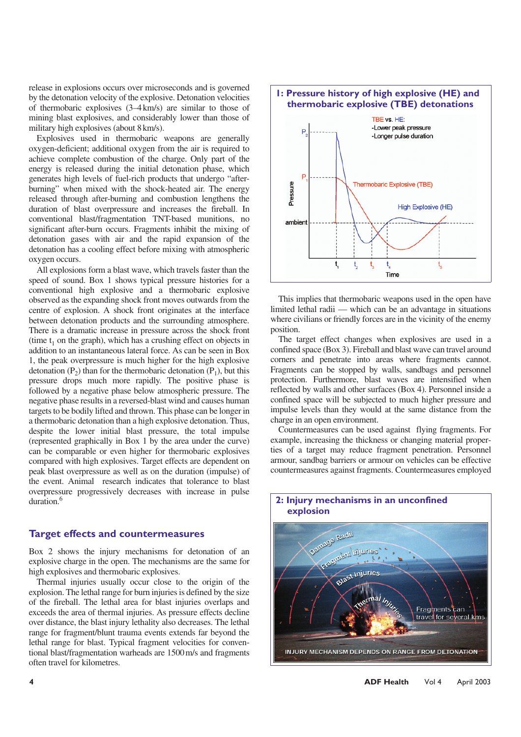release in explosions occurs over microseconds and is governed by the detonation velocity of the explosive. Detonation velocities of thermobaric explosives (3–4km/s) are similar to those of mining blast explosives, and considerably lower than those of military high explosives (about 8km/s).

Explosives used in thermobaric weapons are generally oxygen-deficient; additional oxygen from the air is required to achieve complete combustion of the charge. Only part of the energy is released during the initial detonation phase, which generates high levels of fuel-rich products that undergo "afterburning" when mixed with the shock-heated air. The energy released through after-burning and combustion lengthens the duration of blast overpressure and increases the fireball. In conventional blast/fragmentation TNT-based munitions, no significant after-burn occurs. Fragments inhibit the mixing of detonation gases with air and the rapid expansion of the detonation has a cooling effect before mixing with atmospheric oxygen occurs.

All explosions form a blast wave, which travels faster than the speed of sound. Box 1 shows typical pressure histories for a conventional high explosive and a thermobaric explosive observed as the expanding shock front moves outwards from the centre of explosion. A shock front originates at the interface between detonation products and the surrounding atmosphere. There is a dramatic increase in pressure across the shock front (time  $t_1$  on the graph), which has a crushing effect on objects in addition to an instantaneous lateral force. As can be seen in Box 1, the peak overpressure is much higher for the high explosive detonation  $(P_2)$  than for the thermobaric detonation  $(P_1)$ , but this pressure drops much more rapidly. The positive phase is followed by a negative phase below atmospheric pressure. The negative phase results in a reversed-blast wind and causes human targets to be bodily lifted and thrown. This phase can be longer in a thermobaric detonation than a high explosive detonation. Thus, despite the lower initial blast pressure, the total impulse (represented graphically in Box 1 by the area under the curve) can be comparable or even higher for thermobaric explosives compared with high explosives. Target effects are dependent on peak blast overpressure as well as on the duration (impulse) of the event. Animal research indicates that tolerance to blast overpressure progressively decreases with increase in pulse duration.<sup>6</sup>

#### **Target effects and countermeasures**

Box 2 shows the injury mechanisms for detonation of an explosive charge in the open. The mechanisms are the same for high explosives and thermobaric explosives.

Thermal injuries usually occur close to the origin of the explosion. The lethal range for burn injuries is defined by the size of the fireball. The lethal area for blast injuries overlaps and exceeds the area of thermal injuries. As pressure effects decline over distance, the blast injury lethality also decreases. The lethal range for fragment/blunt trauma events extends far beyond the lethal range for blast. Typical fragment velocities for conventional blast/fragmentation warheads are 1500m/s and fragments often travel for kilometres.



This implies that thermobaric weapons used in the open have limited lethal radii — which can be an advantage in situations where civilians or friendly forces are in the vicinity of the enemy position.

The target effect changes when explosives are used in a confined space (Box 3). Fireball and blast wave can travel around corners and penetrate into areas where fragments cannot. Fragments can be stopped by walls, sandbags and personnel protection. Furthermore, blast waves are intensified when reflected by walls and other surfaces (Box 4). Personnel inside a confined space will be subjected to much higher pressure and impulse levels than they would at the same distance from the charge in an open environment.

Countermeasures can be used against flying fragments. For example, increasing the thickness or changing material properties of a target may reduce fragment penetration. Personnel armour, sandbag barriers or armour on vehicles can be effective countermeasures against fragments. Countermeasures employed



# **2: Injury mechanisms in an unconfined explosion**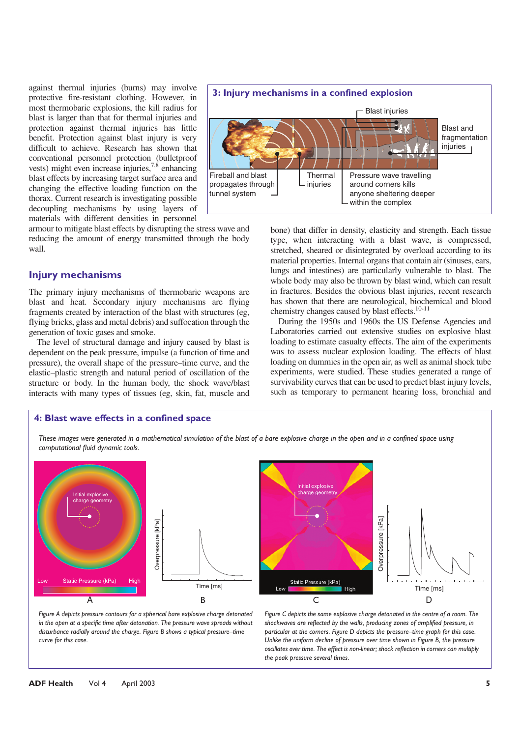against thermal injuries (burns) may involve protective fire-resistant clothing. However, in most thermobaric explosions, the kill radius for blast is larger than that for thermal injuries and protection against thermal injuries has little benefit. Protection against blast injury is very difficult to achieve. Research has shown that conventional personnel protection (bulletproof vests) might even increase injuries, $7.8$  enhancing blast effects by increasing target surface area and changing the effective loading function on the thorax. Current research is investigating possible decoupling mechanisms by using layers of materials with different densities in personnel

armour to mitigate blast effects by disrupting the stress wave and reducing the amount of energy transmitted through the body wall.

#### **Injury mechanisms**

The primary injury mechanisms of thermobaric weapons are blast and heat. Secondary injury mechanisms are flying fragments created by interaction of the blast with structures (eg, flying bricks, glass and metal debris) and suffocation through the generation of toxic gases and smoke.

The level of structural damage and injury caused by blast is dependent on the peak pressure, impulse (a function of time and pressure), the overall shape of the pressure–time curve, and the elastic–plastic strength and natural period of oscillation of the structure or body. In the human body, the shock wave/blast interacts with many types of tissues (eg, skin, fat, muscle and



bone) that differ in density, elasticity and strength. Each tissue type, when interacting with a blast wave, is compressed, stretched, sheared or disintegrated by overload according to its material properties. Internal organs that contain air (sinuses, ears, lungs and intestines) are particularly vulnerable to blast. The whole body may also be thrown by blast wind, which can result in fractures. Besides the obvious blast injuries, recent research has shown that there are neurological, biochemical and blood chemistry changes caused by blast effects.10-11

During the 1950s and 1960s the US Defense Agencies and Laboratories carried out extensive studies on explosive blast loading to estimate casualty effects. The aim of the experiments was to assess nuclear explosion loading. The effects of blast loading on dummies in the open air, as well as animal shock tube experiments, were studied. These studies generated a range of survivability curves that can be used to predict blast injury levels, such as temporary to permanent hearing loss, bronchial and

#### **4: Blast wave effects in a confined space**

*These images were generated in a mathematical simulation of the blast of a bare explosive charge in the open and in a confined space using computational fluid dynamic tools.* 





*Figure A depicts pressure contours for a spherical bare explosive charge detonated in the open at a specific time after detonation. The pressure wave spreads without disturbance radially around the charge. Figure B shows a typical pressure–time curve for this case.*

*Figure C depicts the same explosive charge detonated in the centre of a room. The shockwaves are reflected by the walls, producing zones of amplified pressure, in particular at the corners. Figure D depicts the pressure–time graph for this case. Unlike the uniform decline of pressure over time shown in Figure B, the pressure oscillates over time. The effect is non-linear; shock reflection in corners can multiply the peak pressure several times.*